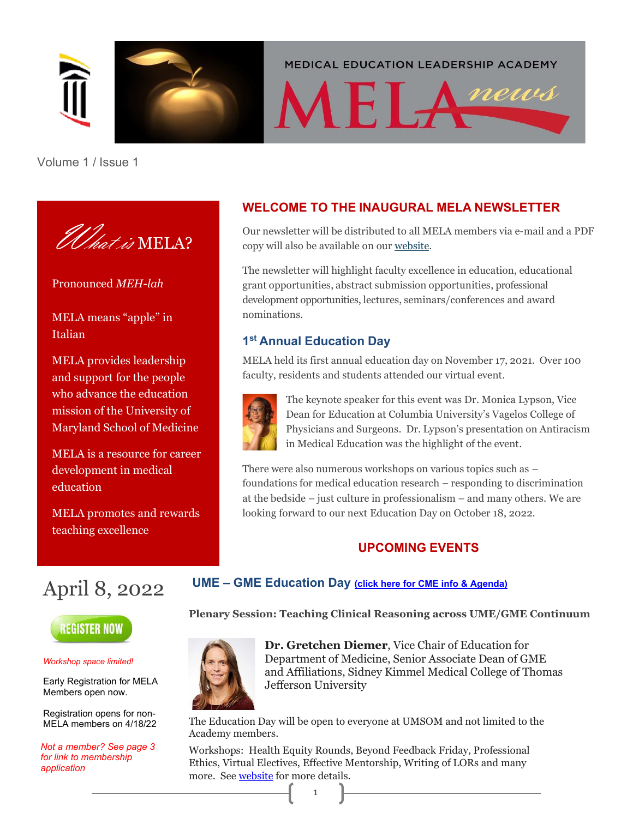

**MEDICAL EDUCATION LEADERSHIP ACADEMY** 

# MELAnews

Volume 1 / Issue 1



Pronounced *MEH-lah*

MELA means "apple" in Italian

MELA provides leadership and support for the people who advance the education mission of the University of Maryland School of Medicine

MELA is a resource for career development in medical education

MELA promotes and rewards teaching excellence

#### **WELCOME TO THE INAUGURAL MELA NEWSLETTER**

Our newsletter will be distributed to all MELA members via e-mail and a PDF copy will also be available on our [website.](https://www.medschool.umaryland.edu/education/MELA/)

The newsletter will highlight faculty excellence in education, educational grant opportunities, abstract submission opportunities, professional development opportunities, lectures, seminars/conferences and award nominations.

#### **1st Annual Education Day**

MELA held its first annual education day on November 17, 2021. Over 100 faculty, residents and students attended our virtual event.



The keynote speaker for this event was Dr. Monica Lypson, Vice Dean for Education at Columbia University's Vagelos College of Physicians and Surgeons. Dr. Lypson's presentation on Antiracism in Medical Education was the highlight of the event.

There were also numerous workshops on various topics such as – foundations for medical education research – responding to discrimination at the bedside – just culture in professionalism – and many others. We are looking forward to our next Education Day on October 18, 2022.

#### **UPCOMING EVENTS**

## April 8, 2022



*Workshop space limited!*

Early Registration for MELA Members open now.

Registration opens for non-MELA members on 4/18/22

*Not a member? See page 3 for link to membership application*

#### **UME – GME Education Day [\(click here for CME info & Agenda\)](https://www.medschool.umaryland.edu/education/MELA/Academy-Events-and-Meetings/)**

**Plenary Session: Teaching Clinical Reasoning across UME/GME Continuum**



**Dr. Gretchen Diemer**, Vice Chair of Education for Department of Medicine, Senior Associate Dean of GME and Affiliations, Sidney Kimmel Medical College of Thomas Jefferson University

The Education Day will be open to everyone at UMSOM and not limited to the Academy members.

Workshops: Health Equity Rounds, Beyond Feedback Friday, Professional Ethics, Virtual Electives, Effective Mentorship, Writing of LORs and many more. See [website](https://www.medschool.umaryland.edu/education/MELA/) for more details.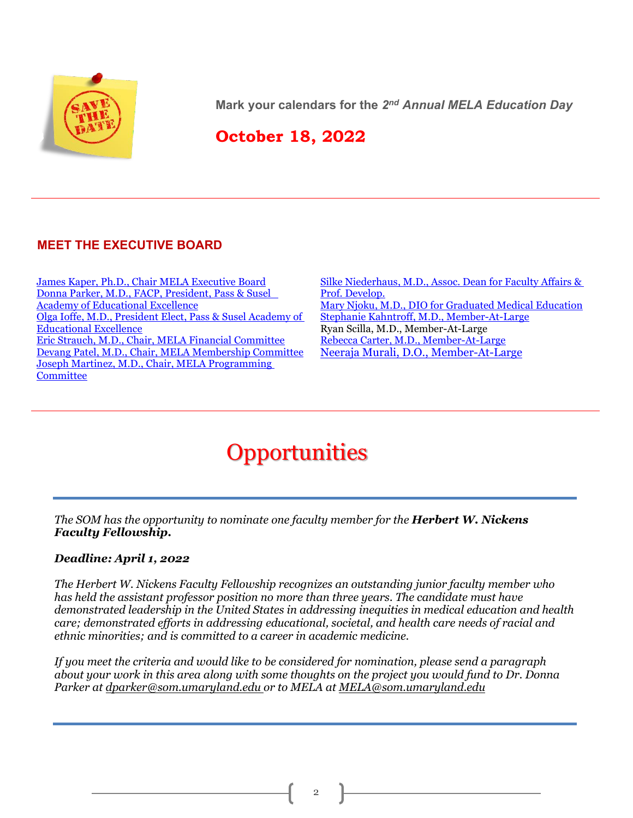

**Mark your calendars for the** *2nd Annual MELA Education Day*

### **October 18, 2022**

#### **MEET THE EXECUTIVE BOARD**

[James Kaper, Ph.D., Chair MELA Executive Board](https://www.medschool.umaryland.edu/profiles/Kaper-James/) [Donna Parker, M.D., FACP, President, Pass & Susel](https://www.medschool.umaryland.edu/profiles/Parker-Donna/)  Academy [of Educational Excellence](https://www.medschool.umaryland.edu/profiles/Parker-Donna/) [Olga Ioffe, M.D., President Elect, Pass & Susel](https://www.medschool.umaryland.edu/profiles/Ioffe-Olga/) Academy of Educational Excellence [Eric Strauch, M.D., Chair, MELA Financial Committee](https://www.medschool.umaryland.edu/profiles/Strauch-Eric/) [Devang Patel, M.D., Chair, MELA Membership Committee](https://www.medschool.umaryland.edu/profiles/Patel-Devang/) [Joseph Martinez, M.D., Chair, MELA Programming](https://www.medschool.umaryland.edu/profiles/Martinez-Joseph/)  **[Committee](https://www.medschool.umaryland.edu/profiles/Martinez-Joseph/)** 

[Silke Niederhaus, M.D., Assoc. Dean for Faculty Affairs &](https://www.medschool.umaryland.edu/profiles/Niederhaus-Silke/)  [Prof. Develop.](https://www.medschool.umaryland.edu/profiles/Niederhaus-Silke/) [Mary Njoku, M.D., DIO for Graduated Medical Education](https://www.medschool.umaryland.edu/profiles/Njoku-Mary/) [Stephanie Kahntroff, M.D., Member-At-Large](https://www.medschool.umaryland.edu/profiles/Kahntroff-Stephanie/) Ryan Scilla, M.D., Member-At-Large [Rebecca Carter, M.D., Member-At-Large](https://www.medschool.umaryland.edu/profiles/Carter-Rebecca/) [Neeraja Murali, D.O., Member-At-Large](https://em.umaryland.edu/profiles/faculty/2036/)

## **Opportunities**

*The SOM has the opportunity to nominate one faculty member for the Herbert W. Nickens Faculty Fellowship.*

#### *Deadline: April 1, 2022*

*The Herbert W. Nickens Faculty Fellowship recognizes an outstanding junior faculty member who has held the assistant professor position no more than three years. The candidate must have demonstrated leadership in the United States in addressing inequities in medical education and health care; demonstrated efforts in addressing educational, societal, and health care needs of racial and ethnic minorities; and is committed to a career in academic medicine.*

*If you meet the criteria and would like to be considered for nomination, please send a paragraph about your work in this area along with some thoughts on the project you would fund to Dr. Donna Parker at [dparker@som.umaryland.edu o](mailto:dparker@som.umaryland.edu)r to MELA at [MELA@som.umaryland.edu](mailto:MELA@som.umaryland.edu)*

2